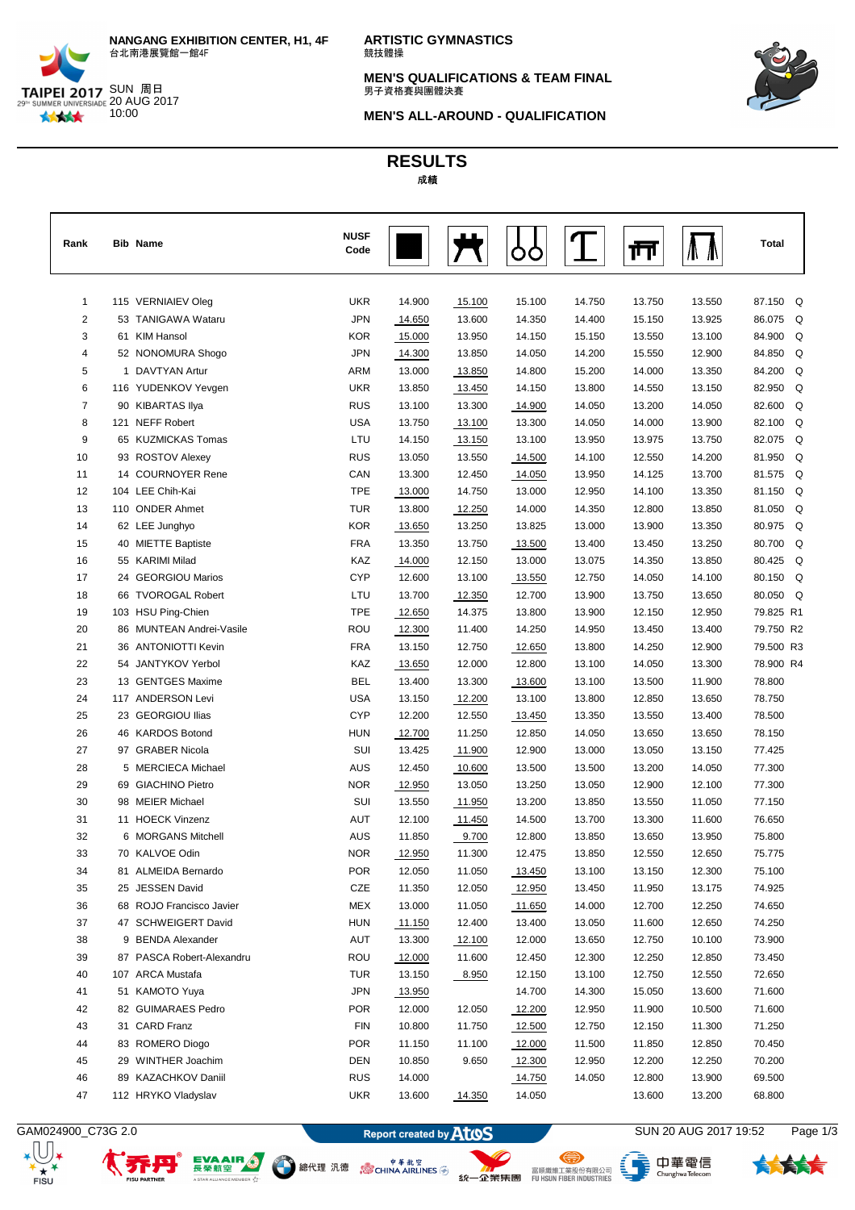

**ARTISTIC GYMNASTICS** 競技體操

**MEN'S QUALIFICATIONS & TEAM FINAL**<br>男子資格賽與團體決賽



**MEN'S ALL-AROUND - QUALIFICATION**

## **RESULTS** 成績

| Rank           |     | <b>Bib Name</b>           | <b>NUSF</b><br>Code |        |        |        |        | ш      |        | Total     |
|----------------|-----|---------------------------|---------------------|--------|--------|--------|--------|--------|--------|-----------|
|                |     |                           |                     |        |        |        |        |        |        |           |
| 1              |     | 115 VERNIAIEV Oleg        | <b>UKR</b>          | 14.900 | 15.100 | 15.100 | 14.750 | 13.750 | 13.550 | 87.150 Q  |
| $\overline{2}$ |     | 53 TANIGAWA Wataru        | <b>JPN</b>          | 14.650 | 13.600 | 14.350 | 14.400 | 15.150 | 13.925 | 86.075 Q  |
| 3              |     | 61 KIM Hansol             | <b>KOR</b>          | 15.000 | 13.950 | 14.150 | 15.150 | 13.550 | 13.100 | 84.900 Q  |
| 4              |     | 52 NONOMURA Shogo         | <b>JPN</b>          | 14.300 | 13.850 | 14.050 | 14.200 | 15.550 | 12.900 | 84.850 Q  |
| 5              |     | 1 DAVTYAN Artur           | ARM                 | 13.000 | 13.850 | 14.800 | 15.200 | 14.000 | 13.350 | 84.200 Q  |
| 6              |     | 116 YUDENKOV Yevgen       | <b>UKR</b>          | 13.850 | 13.450 | 14.150 | 13.800 | 14.550 | 13.150 | 82.950 Q  |
| $\overline{7}$ |     | 90 KIBARTAS Ilya          | <b>RUS</b>          | 13.100 | 13.300 | 14.900 | 14.050 | 13.200 | 14.050 | 82.600 Q  |
| 8              |     | 121 NEFF Robert           | <b>USA</b>          | 13.750 | 13.100 | 13.300 | 14.050 | 14.000 | 13.900 | 82.100 Q  |
| 9              |     | 65 KUZMICKAS Tomas        | LTU                 | 14.150 | 13.150 | 13.100 | 13.950 | 13.975 | 13.750 | 82.075 Q  |
| 10             |     | 93 ROSTOV Alexey          | <b>RUS</b>          | 13.050 | 13.550 | 14.500 | 14.100 | 12.550 | 14.200 | 81.950 Q  |
| 11             |     | 14 COURNOYER Rene         | CAN                 | 13.300 | 12.450 | 14.050 | 13.950 | 14.125 | 13.700 | 81.575 Q  |
| 12             |     | 104 LEE Chih-Kai          | <b>TPE</b>          | 13.000 | 14.750 | 13.000 | 12.950 | 14.100 | 13.350 | 81.150 Q  |
| 13             |     | 110 ONDER Ahmet           | <b>TUR</b>          | 13.800 | 12.250 | 14.000 | 14.350 | 12.800 | 13.850 | 81.050 Q  |
| 14             |     | 62 LEE Junghyo            | <b>KOR</b>          | 13.650 | 13.250 | 13.825 | 13.000 | 13.900 | 13.350 | 80.975 Q  |
| 15             |     | 40 MIETTE Baptiste        | <b>FRA</b>          | 13.350 | 13.750 | 13.500 | 13.400 | 13.450 | 13.250 | 80.700 Q  |
| 16             |     | 55 KARIMI Milad           | KAZ                 | 14.000 | 12.150 | 13.000 | 13.075 | 14.350 | 13.850 | 80.425 Q  |
| 17             |     | 24 GEORGIOU Marios        | <b>CYP</b>          | 12.600 | 13.100 | 13.550 | 12.750 | 14.050 | 14.100 | 80.150 Q  |
| 18             |     | 66 TVOROGAL Robert        | LTU                 | 13.700 | 12.350 | 12.700 | 13.900 | 13.750 | 13.650 | 80.050 Q  |
| 19             |     | 103 HSU Ping-Chien        | <b>TPE</b>          | 12.650 | 14.375 | 13.800 | 13.900 | 12.150 | 12.950 | 79.825 R1 |
| 20             |     | 86 MUNTEAN Andrei-Vasile  | ROU                 | 12.300 | 11.400 | 14.250 | 14.950 | 13.450 | 13.400 | 79.750 R2 |
| 21             |     | 36 ANTONIOTTI Kevin       | <b>FRA</b>          | 13.150 | 12.750 | 12.650 | 13.800 | 14.250 | 12.900 | 79.500 R3 |
| 22             |     | 54 JANTYKOV Yerbol        | KAZ                 | 13.650 | 12.000 | 12.800 | 13.100 | 14.050 | 13.300 | 78.900 R4 |
| 23             |     | 13 GENTGES Maxime         | <b>BEL</b>          | 13.400 | 13.300 | 13.600 | 13.100 | 13.500 | 11.900 | 78.800    |
| 24             |     | 117 ANDERSON Levi         | <b>USA</b>          | 13.150 | 12.200 | 13.100 | 13.800 | 12.850 | 13.650 | 78.750    |
| 25             |     | 23 GEORGIOU Ilias         | <b>CYP</b>          | 12.200 | 12.550 | 13.450 | 13.350 | 13.550 | 13.400 | 78.500    |
| 26             |     | 46 KARDOS Botond          | <b>HUN</b>          | 12.700 | 11.250 | 12.850 | 14.050 | 13.650 | 13.650 | 78.150    |
| 27             |     | 97 GRABER Nicola          | SUI                 | 13.425 | 11.900 | 12.900 | 13.000 | 13.050 | 13.150 | 77.425    |
| 28             |     | 5 MERCIECA Michael        | <b>AUS</b>          | 12.450 | 10.600 | 13.500 | 13.500 | 13.200 | 14.050 | 77.300    |
| 29             |     | 69 GIACHINO Pietro        | <b>NOR</b>          | 12.950 | 13.050 | 13.250 | 13.050 | 12.900 | 12.100 | 77.300    |
| 30             |     | 98 MEIER Michael          | SUI                 | 13.550 | 11.950 | 13.200 | 13.850 | 13.550 | 11.050 | 77.150    |
| 31             |     | 11 HOECK Vinzenz          | <b>AUT</b>          | 12.100 | 11.450 | 14.500 | 13.700 | 13.300 | 11.600 | 76.650    |
| 32             |     | 6 MORGANS Mitchell        | <b>AUS</b>          | 11.850 | 9.700  | 12.800 | 13.850 | 13.650 | 13.950 | 75.800    |
| 33             |     | 70 KALVOE Odin            | <b>NOR</b>          | 12.950 | 11.300 | 12.475 | 13.850 | 12.550 | 12.650 | 75.775    |
| 34             |     | 81 ALMEIDA Bernardo       | POR                 | 12.050 | 11.050 | 13.450 | 13.100 | 13.150 | 12.300 | 75.100    |
| 35             |     | 25 JESSEN David           | CZE                 | 11.350 | 12.050 | 12.950 | 13.450 | 11.950 | 13.175 | 74.925    |
| 36             |     | 68 ROJO Francisco Javier  | MEX                 | 13.000 | 11.050 | 11.650 | 14.000 | 12.700 | 12.250 | 74.650    |
| 37             |     | 47 SCHWEIGERT David       | <b>HUN</b>          | 11.150 | 12.400 | 13.400 | 13.050 | 11.600 | 12.650 | 74.250    |
| 38             |     | 9 BENDA Alexander         | AUT                 | 13.300 | 12.100 | 12.000 | 13.650 | 12.750 | 10.100 | 73.900    |
| 39             |     | 87 PASCA Robert-Alexandru | ROU                 | 12.000 | 11.600 | 12.450 | 12.300 | 12.250 | 12.850 | 73.450    |
| 40             | 107 | <b>ARCA Mustafa</b>       | TUR                 | 13.150 | 8.950  | 12.150 | 13.100 | 12.750 | 12.550 | 72.650    |
| 41             |     | 51 KAMOTO Yuya            | <b>JPN</b>          | 13.950 |        | 14.700 | 14.300 | 15.050 | 13.600 | 71.600    |
| 42             |     | 82 GUIMARAES Pedro        | POR                 | 12.000 | 12.050 | 12.200 | 12.950 | 11.900 | 10.500 | 71.600    |
| 43             |     | 31 CARD Franz             | <b>FIN</b>          | 10.800 | 11.750 | 12.500 | 12.750 | 12.150 | 11.300 | 71.250    |
| 44             |     | 83 ROMERO Diogo           | <b>POR</b>          | 11.150 | 11.100 | 12.000 | 11.500 | 11.850 | 12.850 | 70.450    |
| 45             |     | 29 WINTHER Joachim        | DEN                 | 10.850 | 9.650  | 12.300 | 12.950 | 12.200 | 12.250 | 70.200    |
| 46             |     | 89 KAZACHKOV Daniil       | <b>RUS</b>          | 14.000 |        | 14.750 | 14.050 | 12.800 | 13.900 | 69.500    |
| 47             |     | 112 HRYKO Vladyslav       | <b>UKR</b>          | 13.600 | 14.350 | 14.050 |        | 13.600 | 13.200 | 68.800    |

EVAAIR O

εŵ

A STAR ALLIANCE

 $_{\rm \star}$   $\rm U$  ,

 $rac{1}{\pi}$   $\star$ 

GAM024900\_C73G 2.0 Report created by **ATOS** SUN 20 AUG 2017 19:52 Page 1/3





、<br>- ChunghwaTelecom

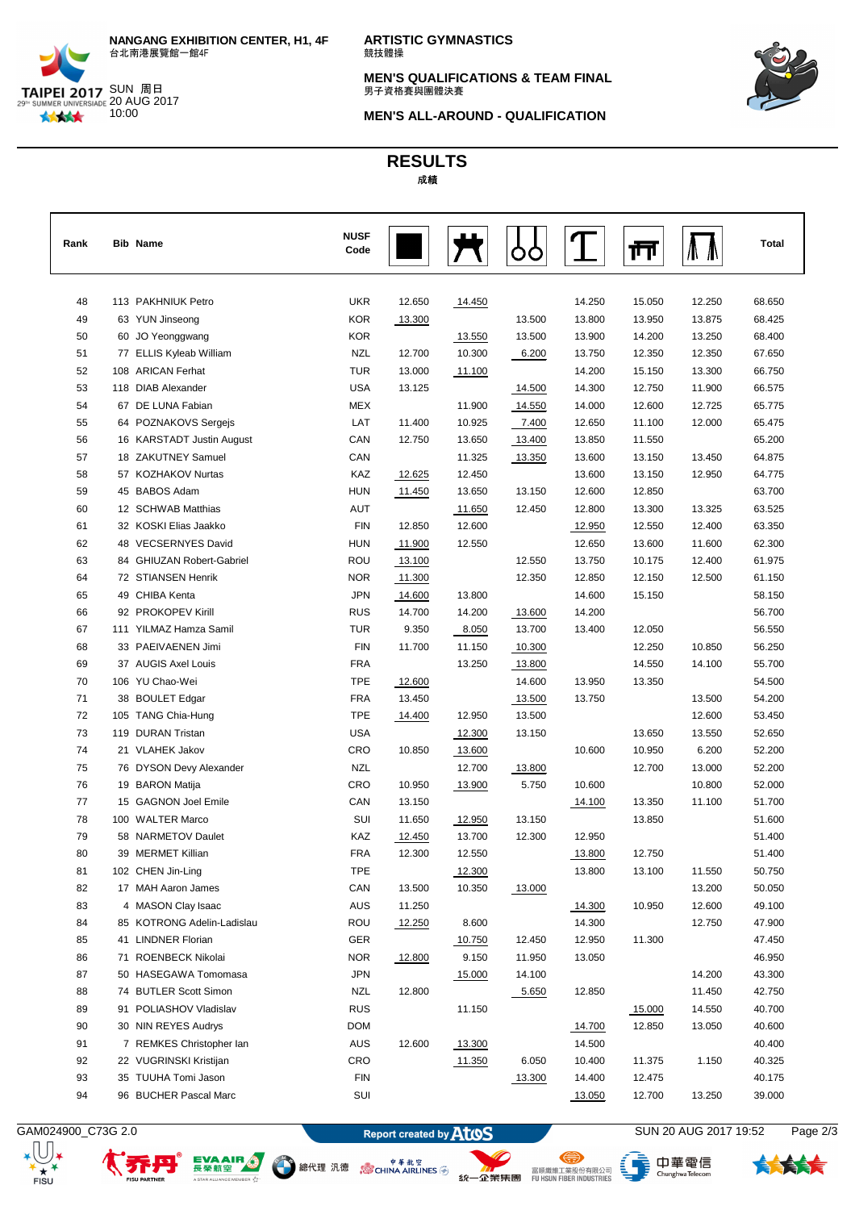

**ARTISTIC GYMNASTICS** 競技體操

**MEN'S QUALIFICATIONS & TEAM FINAL**<br>男子資格賽與團體決賽



**MEN'S ALL-AROUND - QUALIFICATION**

## **RESULTS** 成績

| Rank | <b>Bib Name</b>            | <b>NUSF</b><br>Code |        |        |        |        | ŢΠ     |        | Total  |
|------|----------------------------|---------------------|--------|--------|--------|--------|--------|--------|--------|
| 48   | 113 PAKHNIUK Petro         | <b>UKR</b>          | 12.650 | 14.450 |        | 14.250 | 15.050 | 12.250 | 68.650 |
| 49   | 63 YUN Jinseong            | <b>KOR</b>          | 13.300 |        | 13.500 | 13.800 | 13.950 | 13.875 | 68.425 |
| 50   | 60 JO Yeonggwang           | <b>KOR</b>          |        | 13.550 | 13.500 | 13.900 | 14.200 | 13.250 | 68.400 |
| 51   | 77 ELLIS Kyleab William    | <b>NZL</b>          | 12.700 | 10.300 | 6.200  | 13.750 | 12.350 | 12.350 | 67.650 |
| 52   | 108 ARICAN Ferhat          | <b>TUR</b>          | 13.000 | 11.100 |        | 14.200 | 15.150 | 13.300 | 66.750 |
| 53   | 118 DIAB Alexander         | <b>USA</b>          | 13.125 |        | 14.500 | 14.300 | 12.750 | 11.900 | 66.575 |
| 54   | 67 DE LUNA Fabian          | <b>MEX</b>          |        | 11.900 | 14.550 | 14.000 | 12.600 | 12.725 | 65.775 |
| 55   | 64 POZNAKOVS Sergejs       | LAT                 | 11.400 | 10.925 | 7.400  | 12.650 | 11.100 | 12.000 | 65.475 |
| 56   | 16 KARSTADT Justin August  | CAN                 | 12.750 | 13.650 | 13.400 | 13.850 | 11.550 |        | 65.200 |
| 57   | 18 ZAKUTNEY Samuel         | CAN                 |        | 11.325 | 13.350 | 13.600 | 13.150 | 13.450 | 64.875 |
| 58   | 57 KOZHAKOV Nurtas         | KAZ                 | 12.625 | 12.450 |        | 13.600 | 13.150 | 12.950 | 64.775 |
| 59   | 45 BABOS Adam              | <b>HUN</b>          | 11.450 | 13.650 | 13.150 | 12.600 | 12.850 |        | 63.700 |
| 60   | 12 SCHWAB Matthias         | <b>AUT</b>          |        | 11.650 | 12.450 | 12.800 | 13.300 | 13.325 | 63.525 |
| 61   | 32 KOSKI Elias Jaakko      | <b>FIN</b>          | 12.850 | 12.600 |        | 12.950 | 12.550 | 12.400 | 63.350 |
| 62   | 48 VECSERNYES David        | <b>HUN</b>          | 11.900 | 12.550 |        | 12.650 | 13.600 | 11.600 | 62.300 |
| 63   | 84 GHIUZAN Robert-Gabriel  | <b>ROU</b>          | 13.100 |        | 12.550 | 13.750 | 10.175 | 12.400 | 61.975 |
| 64   | 72 STIANSEN Henrik         | <b>NOR</b>          | 11.300 |        | 12.350 | 12.850 | 12.150 | 12.500 | 61.150 |
| 65   | 49 CHIBA Kenta             | <b>JPN</b>          | 14.600 | 13.800 |        | 14.600 | 15.150 |        | 58.150 |
| 66   | 92 PROKOPEV Kirill         | <b>RUS</b>          | 14.700 | 14.200 | 13.600 | 14.200 |        |        | 56.700 |
| 67   | 111 YILMAZ Hamza Samil     | <b>TUR</b>          | 9.350  | 8.050  | 13.700 | 13.400 | 12.050 |        | 56.550 |
| 68   | 33 PAEIVAENEN Jimi         | <b>FIN</b>          | 11.700 | 11.150 | 10.300 |        | 12.250 | 10.850 | 56.250 |
| 69   | 37 AUGIS Axel Louis        | <b>FRA</b>          |        | 13.250 | 13.800 |        | 14.550 | 14.100 | 55.700 |
| 70   | 106 YU Chao-Wei            | <b>TPE</b>          | 12.600 |        | 14.600 | 13.950 | 13.350 |        | 54.500 |
| 71   | 38 BOULET Edgar            | <b>FRA</b>          | 13.450 |        | 13.500 | 13.750 |        | 13.500 | 54.200 |
| 72   | 105 TANG Chia-Hung         | <b>TPE</b>          | 14.400 | 12.950 | 13.500 |        |        | 12.600 | 53.450 |
| 73   | 119 DURAN Tristan          | <b>USA</b>          |        | 12.300 | 13.150 |        | 13.650 | 13.550 | 52.650 |
| 74   | 21 VLAHEK Jakov            | CRO                 | 10.850 | 13.600 |        | 10.600 | 10.950 | 6.200  | 52.200 |
| 75   | 76 DYSON Devy Alexander    | <b>NZL</b>          |        | 12.700 | 13.800 |        | 12.700 | 13.000 | 52.200 |
| 76   | 19 BARON Matija            | CRO                 | 10.950 | 13.900 | 5.750  | 10.600 |        | 10.800 | 52.000 |
| 77   | 15 GAGNON Joel Emile       | CAN                 | 13.150 |        |        | 14.100 | 13.350 | 11.100 | 51.700 |
| 78   | 100 WALTER Marco           | SUI                 | 11.650 | 12.950 | 13.150 |        | 13.850 |        | 51.600 |
| 79   | 58 NARMETOV Daulet         | KAZ                 | 12.450 | 13.700 | 12.300 | 12.950 |        |        | 51.400 |
| 80   | 39 MERMET Killian          | <b>FRA</b>          | 12.300 | 12.550 |        | 13.800 | 12.750 |        | 51.400 |
| 81   | 102 CHEN Jin-Ling          | <b>TPE</b>          |        | 12.300 |        | 13.800 | 13.100 | 11.550 | 50.750 |
| 82   | 17 MAH Aaron James         | CAN                 | 13.500 | 10.350 | 13.000 |        |        | 13.200 | 50.050 |
| 83   | 4 MASON Clay Isaac         | AUS                 | 11.250 |        |        | 14.300 | 10.950 | 12.600 | 49.100 |
| 84   | 85 KOTRONG Adelin-Ladislau | ROU                 | 12.250 | 8.600  |        | 14.300 |        | 12.750 | 47.900 |
| 85   | 41 LINDNER Florian         | <b>GER</b>          |        | 10.750 | 12.450 | 12.950 | 11.300 |        | 47.450 |
| 86   | 71 ROENBECK Nikolai        | <b>NOR</b>          | 12.800 | 9.150  | 11.950 | 13.050 |        |        | 46.950 |
| 87   | 50 HASEGAWA Tomomasa       | <b>JPN</b>          |        | 15.000 | 14.100 |        |        | 14.200 | 43.300 |
| 88   | 74 BUTLER Scott Simon      | <b>NZL</b>          | 12.800 |        | 5.650  | 12.850 |        | 11.450 | 42.750 |
| 89   | 91 POLIASHOV Vladislav     | <b>RUS</b>          |        | 11.150 |        |        | 15.000 | 14.550 | 40.700 |
| 90   | 30 NIN REYES Audrys        | <b>DOM</b>          |        |        |        | 14.700 | 12.850 | 13.050 | 40.600 |
| 91   | 7 REMKES Christopher lan   | AUS                 | 12.600 | 13.300 |        | 14.500 |        |        | 40.400 |
| 92   | 22 VUGRINSKI Kristijan     | CRO                 |        | 11.350 | 6.050  | 10.400 | 11.375 | 1.150  | 40.325 |
| 93   | 35 TUUHA Tomi Jason        | <b>FIN</b>          |        |        | 13.300 | 14.400 | 12.475 |        | 40.175 |
| 94   | 96 BUCHER Pascal Marc      | SUI                 |        |        |        | 13.050 | 12.700 | 13.250 | 39.000 |

EVAAIR O

εŵ

A STAR ALLIANCE

 $_{\rm \star}$   $\rm U$  ,  $rac{1}{\pi}$   $\star$ 



<sup>中華航空</sup>線代理 汎徳 <sub>。 Sep</sub> + 単純空

、<br>- ChunghwaTelecom

⊜

长长